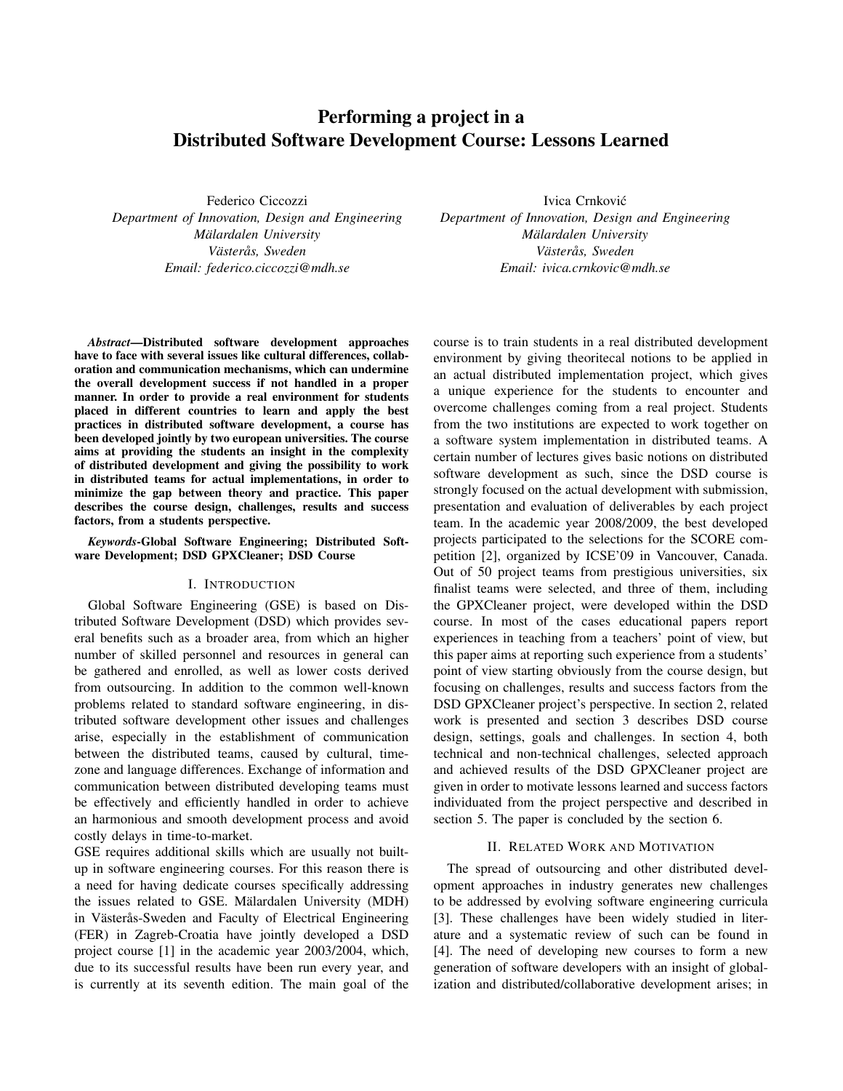# Performing a project in a Distributed Software Development Course: Lessons Learned

Federico Ciccozzi *Department of Innovation, Design and Engineering Malardalen University ¨ Vaster ¨ as, Sweden ˚ Email: federico.ciccozzi@mdh.se*

*Abstract*—Distributed software development approaches have to face with several issues like cultural differences, collaboration and communication mechanisms, which can undermine the overall development success if not handled in a proper manner. In order to provide a real environment for students placed in different countries to learn and apply the best practices in distributed software development, a course has been developed jointly by two european universities. The course aims at providing the students an insight in the complexity of distributed development and giving the possibility to work in distributed teams for actual implementations, in order to minimize the gap between theory and practice. This paper describes the course design, challenges, results and success factors, from a students perspective.

*Keywords*-Global Software Engineering; Distributed Software Development; DSD GPXCleaner; DSD Course

## I. INTRODUCTION

Global Software Engineering (GSE) is based on Distributed Software Development (DSD) which provides several benefits such as a broader area, from which an higher number of skilled personnel and resources in general can be gathered and enrolled, as well as lower costs derived from outsourcing. In addition to the common well-known problems related to standard software engineering, in distributed software development other issues and challenges arise, especially in the establishment of communication between the distributed teams, caused by cultural, timezone and language differences. Exchange of information and communication between distributed developing teams must be effectively and efficiently handled in order to achieve an harmonious and smooth development process and avoid costly delays in time-to-market.

GSE requires additional skills which are usually not builtup in software engineering courses. For this reason there is a need for having dedicate courses specifically addressing the issues related to GSE. Mälardalen University (MDH) in Västerås-Sweden and Faculty of Electrical Engineering (FER) in Zagreb-Croatia have jointly developed a DSD project course [1] in the academic year 2003/2004, which, due to its successful results have been run every year, and is currently at its seventh edition. The main goal of the

Ivica Crnkovic´ *Department of Innovation, Design and Engineering Malardalen University ¨ Vaster ¨ as, Sweden ˚ Email: ivica.crnkovic@mdh.se*

course is to train students in a real distributed development environment by giving theoritecal notions to be applied in an actual distributed implementation project, which gives a unique experience for the students to encounter and overcome challenges coming from a real project. Students from the two institutions are expected to work together on a software system implementation in distributed teams. A certain number of lectures gives basic notions on distributed software development as such, since the DSD course is strongly focused on the actual development with submission, presentation and evaluation of deliverables by each project team. In the academic year 2008/2009, the best developed projects participated to the selections for the SCORE competition [2], organized by ICSE'09 in Vancouver, Canada. Out of 50 project teams from prestigious universities, six finalist teams were selected, and three of them, including the GPXCleaner project, were developed within the DSD course. In most of the cases educational papers report experiences in teaching from a teachers' point of view, but this paper aims at reporting such experience from a students' point of view starting obviously from the course design, but focusing on challenges, results and success factors from the DSD GPXCleaner project's perspective. In section 2, related work is presented and section 3 describes DSD course design, settings, goals and challenges. In section 4, both technical and non-technical challenges, selected approach and achieved results of the DSD GPXCleaner project are given in order to motivate lessons learned and success factors individuated from the project perspective and described in section 5. The paper is concluded by the section 6.

#### II. RELATED WORK AND MOTIVATION

The spread of outsourcing and other distributed development approaches in industry generates new challenges to be addressed by evolving software engineering curricula [3]. These challenges have been widely studied in literature and a systematic review of such can be found in [4]. The need of developing new courses to form a new generation of software developers with an insight of globalization and distributed/collaborative development arises; in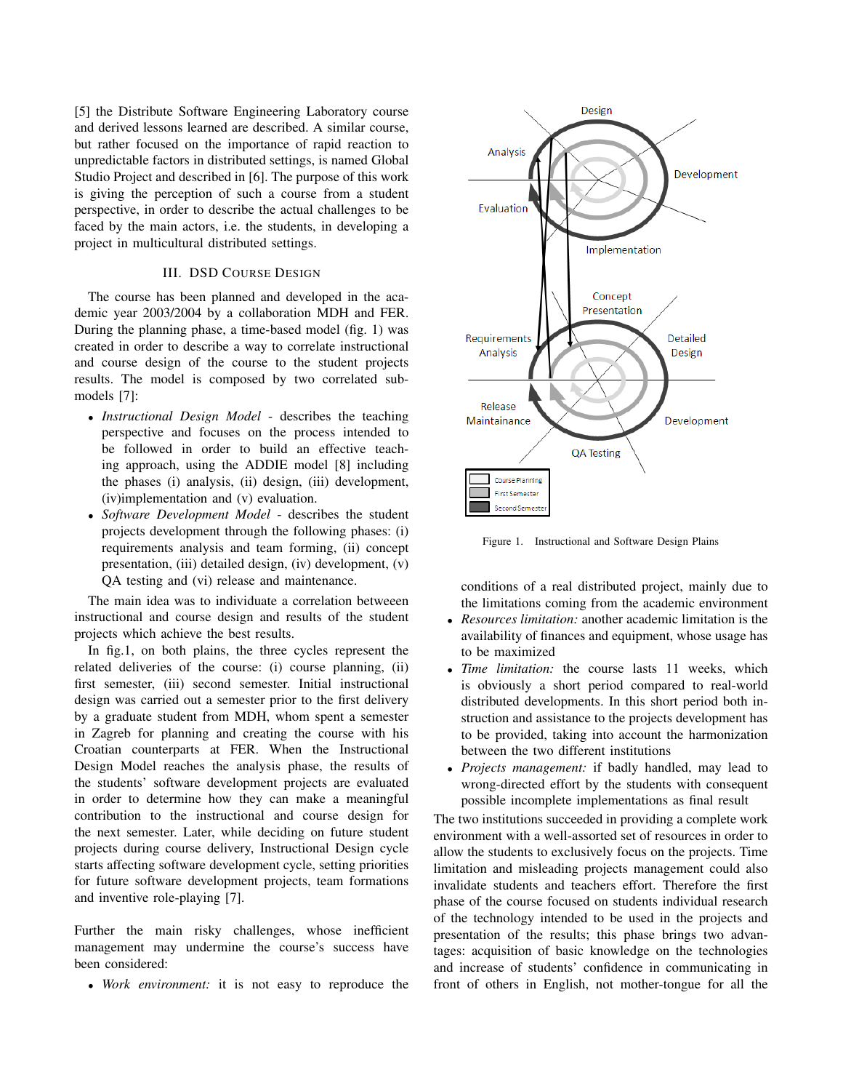[5] the Distribute Software Engineering Laboratory course and derived lessons learned are described. A similar course, but rather focused on the importance of rapid reaction to unpredictable factors in distributed settings, is named Global Studio Project and described in [6]. The purpose of this work is giving the perception of such a course from a student perspective, in order to describe the actual challenges to be faced by the main actors, i.e. the students, in developing a project in multicultural distributed settings.

## III. DSD COURSE DESIGN

The course has been planned and developed in the academic year 2003/2004 by a collaboration MDH and FER. During the planning phase, a time-based model (fig. 1) was created in order to describe a way to correlate instructional and course design of the course to the student projects results. The model is composed by two correlated submodels [7]:

- <sup>∙</sup> *Instructional Design Model* describes the teaching perspective and focuses on the process intended to be followed in order to build an effective teaching approach, using the ADDIE model [8] including the phases (i) analysis, (ii) design, (iii) development, (iv)implementation and (v) evaluation.
- <sup>∙</sup> *Software Development Model* describes the student projects development through the following phases: (i) requirements analysis and team forming, (ii) concept presentation, (iii) detailed design, (iv) development, (v) QA testing and (vi) release and maintenance.

The main idea was to individuate a correlation betweeen instructional and course design and results of the student projects which achieve the best results.

In fig.1, on both plains, the three cycles represent the related deliveries of the course: (i) course planning, (ii) first semester, (iii) second semester. Initial instructional design was carried out a semester prior to the first delivery by a graduate student from MDH, whom spent a semester in Zagreb for planning and creating the course with his Croatian counterparts at FER. When the Instructional Design Model reaches the analysis phase, the results of the students' software development projects are evaluated in order to determine how they can make a meaningful contribution to the instructional and course design for the next semester. Later, while deciding on future student projects during course delivery, Instructional Design cycle starts affecting software development cycle, setting priorities for future software development projects, team formations and inventive role-playing [7].

Further the main risky challenges, whose inefficient management may undermine the course's success have been considered:

<sup>∙</sup> *Work environment:* it is not easy to reproduce the



Figure 1. Instructional and Software Design Plains

conditions of a real distributed project, mainly due to the limitations coming from the academic environment

- <sup>∙</sup> *Resources limitation:* another academic limitation is the availability of finances and equipment, whose usage has to be maximized
- <sup>∙</sup> *Time limitation:* the course lasts 11 weeks, which is obviously a short period compared to real-world distributed developments. In this short period both instruction and assistance to the projects development has to be provided, taking into account the harmonization between the two different institutions
- <sup>∙</sup> *Projects management:* if badly handled, may lead to wrong-directed effort by the students with consequent possible incomplete implementations as final result

The two institutions succeeded in providing a complete work environment with a well-assorted set of resources in order to allow the students to exclusively focus on the projects. Time limitation and misleading projects management could also invalidate students and teachers effort. Therefore the first phase of the course focused on students individual research of the technology intended to be used in the projects and presentation of the results; this phase brings two advantages: acquisition of basic knowledge on the technologies and increase of students' confidence in communicating in front of others in English, not mother-tongue for all the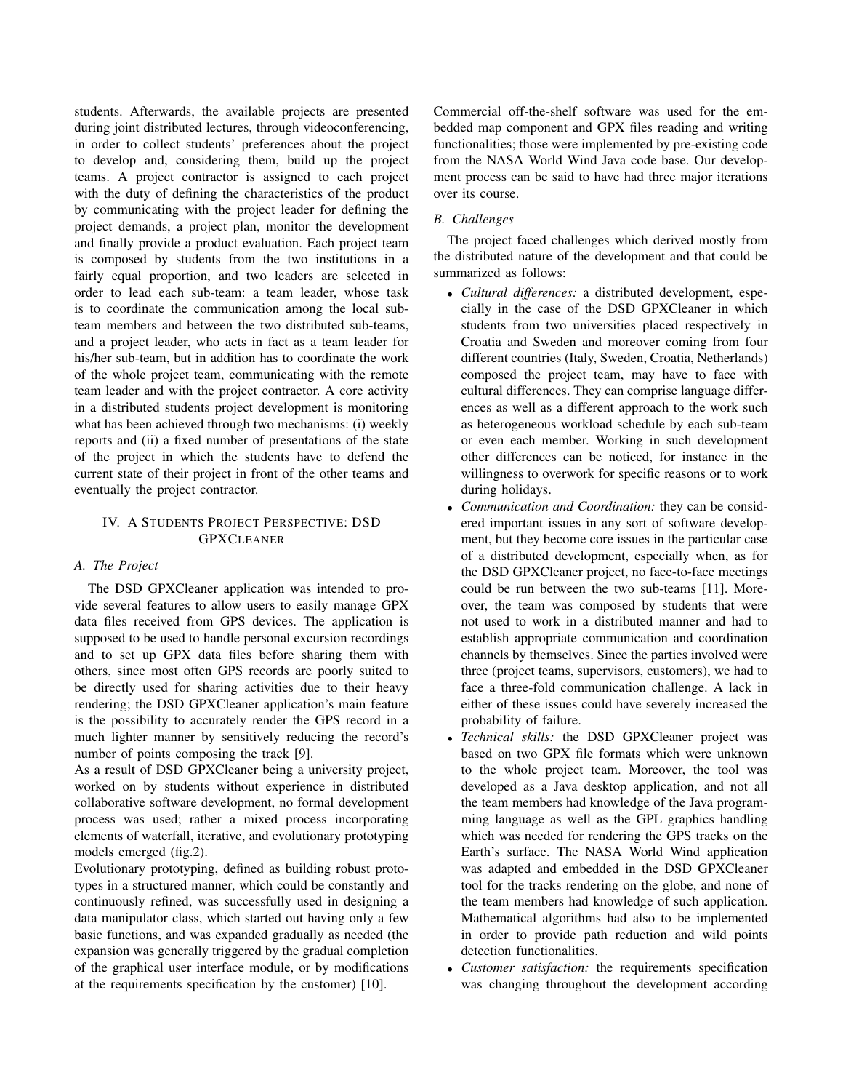students. Afterwards, the available projects are presented during joint distributed lectures, through videoconferencing, in order to collect students' preferences about the project to develop and, considering them, build up the project teams. A project contractor is assigned to each project with the duty of defining the characteristics of the product by communicating with the project leader for defining the project demands, a project plan, monitor the development and finally provide a product evaluation. Each project team is composed by students from the two institutions in a fairly equal proportion, and two leaders are selected in order to lead each sub-team: a team leader, whose task is to coordinate the communication among the local subteam members and between the two distributed sub-teams, and a project leader, who acts in fact as a team leader for his/her sub-team, but in addition has to coordinate the work of the whole project team, communicating with the remote team leader and with the project contractor. A core activity in a distributed students project development is monitoring what has been achieved through two mechanisms: (i) weekly reports and (ii) a fixed number of presentations of the state of the project in which the students have to defend the current state of their project in front of the other teams and eventually the project contractor.

# IV. A STUDENTS PROJECT PERSPECTIVE: DSD **GPXCLEANER**

## *A. The Project*

The DSD GPXCleaner application was intended to provide several features to allow users to easily manage GPX data files received from GPS devices. The application is supposed to be used to handle personal excursion recordings and to set up GPX data files before sharing them with others, since most often GPS records are poorly suited to be directly used for sharing activities due to their heavy rendering; the DSD GPXCleaner application's main feature is the possibility to accurately render the GPS record in a much lighter manner by sensitively reducing the record's number of points composing the track [9].

As a result of DSD GPXCleaner being a university project, worked on by students without experience in distributed collaborative software development, no formal development process was used; rather a mixed process incorporating elements of waterfall, iterative, and evolutionary prototyping models emerged (fig.2).

Evolutionary prototyping, defined as building robust prototypes in a structured manner, which could be constantly and continuously refined, was successfully used in designing a data manipulator class, which started out having only a few basic functions, and was expanded gradually as needed (the expansion was generally triggered by the gradual completion of the graphical user interface module, or by modifications at the requirements specification by the customer) [10].

Commercial off-the-shelf software was used for the embedded map component and GPX files reading and writing functionalities; those were implemented by pre-existing code from the NASA World Wind Java code base. Our development process can be said to have had three major iterations over its course.

## *B. Challenges*

The project faced challenges which derived mostly from the distributed nature of the development and that could be summarized as follows:

- <sup>∙</sup> *Cultural differences:* a distributed development, especially in the case of the DSD GPXCleaner in which students from two universities placed respectively in Croatia and Sweden and moreover coming from four different countries (Italy, Sweden, Croatia, Netherlands) composed the project team, may have to face with cultural differences. They can comprise language differences as well as a different approach to the work such as heterogeneous workload schedule by each sub-team or even each member. Working in such development other differences can be noticed, for instance in the willingness to overwork for specific reasons or to work during holidays.
- <sup>∙</sup> *Communication and Coordination:* they can be considered important issues in any sort of software development, but they become core issues in the particular case of a distributed development, especially when, as for the DSD GPXCleaner project, no face-to-face meetings could be run between the two sub-teams [11]. Moreover, the team was composed by students that were not used to work in a distributed manner and had to establish appropriate communication and coordination channels by themselves. Since the parties involved were three (project teams, supervisors, customers), we had to face a three-fold communication challenge. A lack in either of these issues could have severely increased the probability of failure.
- <sup>∙</sup> *Technical skills:* the DSD GPXCleaner project was based on two GPX file formats which were unknown to the whole project team. Moreover, the tool was developed as a Java desktop application, and not all the team members had knowledge of the Java programming language as well as the GPL graphics handling which was needed for rendering the GPS tracks on the Earth's surface. The NASA World Wind application was adapted and embedded in the DSD GPXCleaner tool for the tracks rendering on the globe, and none of the team members had knowledge of such application. Mathematical algorithms had also to be implemented in order to provide path reduction and wild points detection functionalities.
- <sup>∙</sup> *Customer satisfaction:* the requirements specification was changing throughout the development according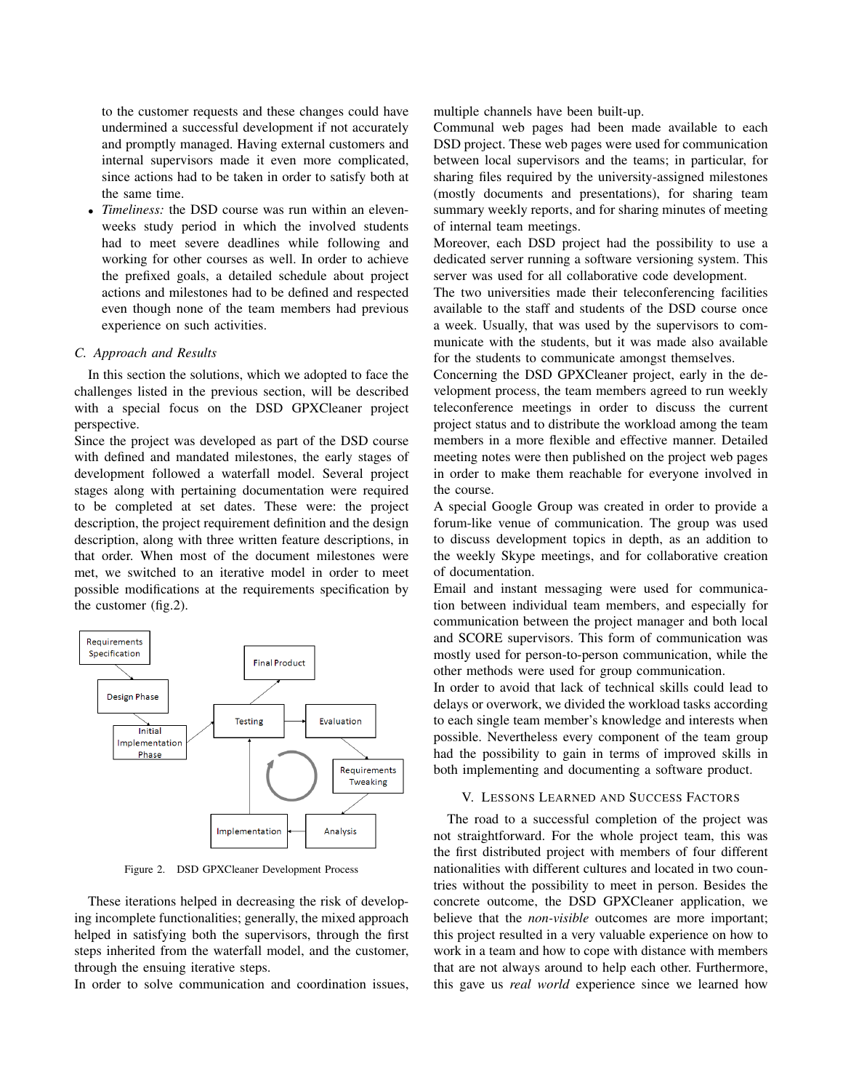to the customer requests and these changes could have undermined a successful development if not accurately and promptly managed. Having external customers and internal supervisors made it even more complicated, since actions had to be taken in order to satisfy both at the same time.

<sup>∙</sup> *Timeliness:* the DSD course was run within an elevenweeks study period in which the involved students had to meet severe deadlines while following and working for other courses as well. In order to achieve the prefixed goals, a detailed schedule about project actions and milestones had to be defined and respected even though none of the team members had previous experience on such activities.

## *C. Approach and Results*

In this section the solutions, which we adopted to face the challenges listed in the previous section, will be described with a special focus on the DSD GPXCleaner project perspective.

Since the project was developed as part of the DSD course with defined and mandated milestones, the early stages of development followed a waterfall model. Several project stages along with pertaining documentation were required to be completed at set dates. These were: the project description, the project requirement definition and the design description, along with three written feature descriptions, in that order. When most of the document milestones were met, we switched to an iterative model in order to meet possible modifications at the requirements specification by the customer (fig.2).



Figure 2. DSD GPXCleaner Development Process

These iterations helped in decreasing the risk of developing incomplete functionalities; generally, the mixed approach helped in satisfying both the supervisors, through the first steps inherited from the waterfall model, and the customer, through the ensuing iterative steps.

In order to solve communication and coordination issues,

multiple channels have been built-up.

Communal web pages had been made available to each DSD project. These web pages were used for communication between local supervisors and the teams; in particular, for sharing files required by the university-assigned milestones (mostly documents and presentations), for sharing team summary weekly reports, and for sharing minutes of meeting of internal team meetings.

Moreover, each DSD project had the possibility to use a dedicated server running a software versioning system. This server was used for all collaborative code development.

The two universities made their teleconferencing facilities available to the staff and students of the DSD course once a week. Usually, that was used by the supervisors to communicate with the students, but it was made also available for the students to communicate amongst themselves.

Concerning the DSD GPXCleaner project, early in the development process, the team members agreed to run weekly teleconference meetings in order to discuss the current project status and to distribute the workload among the team members in a more flexible and effective manner. Detailed meeting notes were then published on the project web pages in order to make them reachable for everyone involved in the course.

A special Google Group was created in order to provide a forum-like venue of communication. The group was used to discuss development topics in depth, as an addition to the weekly Skype meetings, and for collaborative creation of documentation.

Email and instant messaging were used for communication between individual team members, and especially for communication between the project manager and both local and SCORE supervisors. This form of communication was mostly used for person-to-person communication, while the other methods were used for group communication.

In order to avoid that lack of technical skills could lead to delays or overwork, we divided the workload tasks according to each single team member's knowledge and interests when possible. Nevertheless every component of the team group had the possibility to gain in terms of improved skills in both implementing and documenting a software product.

## V. LESSONS LEARNED AND SUCCESS FACTORS

The road to a successful completion of the project was not straightforward. For the whole project team, this was the first distributed project with members of four different nationalities with different cultures and located in two countries without the possibility to meet in person. Besides the concrete outcome, the DSD GPXCleaner application, we believe that the *non-visible* outcomes are more important; this project resulted in a very valuable experience on how to work in a team and how to cope with distance with members that are not always around to help each other. Furthermore, this gave us *real world* experience since we learned how